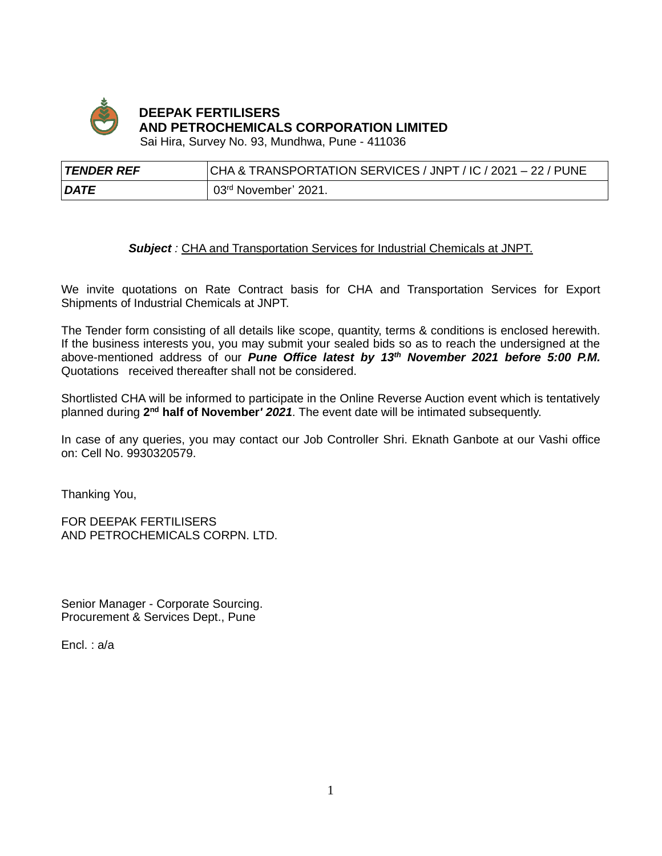

# **DEEPAK FERTILISERS AND PETROCHEMICALS CORPORATION LIMITED**

Sai Hira, Survey No. 93, Mundhwa, Pune - 411036

| TENDER REF  | CHA & TRANSPORTATION SERVICES / JNPT / IC / 2021 - 22 / PUNE |
|-------------|--------------------------------------------------------------|
| <b>DATE</b> | 03 <sup>rd</sup> November' 2021.                             |

### *Subject :* CHA and Transportation Services for Industrial Chemicals at JNPT.

We invite quotations on Rate Contract basis for CHA and Transportation Services for Export Shipments of Industrial Chemicals at JNPT.

The Tender form consisting of all details like scope, quantity, terms & conditions is enclosed herewith. If the business interests you, you may submit your sealed bids so as to reach the undersigned at the above-mentioned address of our *Pune Office latest by 13th November 2021 before 5:00 P.M.* Quotations received thereafter shall not be considered.

Shortlisted CHA will be informed to participate in the Online Reverse Auction event which is tentatively planned during 2<sup>nd</sup> half of November<sup>*'*</sup> 2021. The event date will be intimated subsequently.

In case of any queries, you may contact our Job Controller Shri. Eknath Ganbote at our Vashi office on: Cell No. 9930320579.

Thanking You,

FOR DEEPAK FERTILISERS AND PETROCHEMICALS CORPN. LTD.

Senior Manager - Corporate Sourcing. Procurement & Services Dept., Pune

Encl. : a/a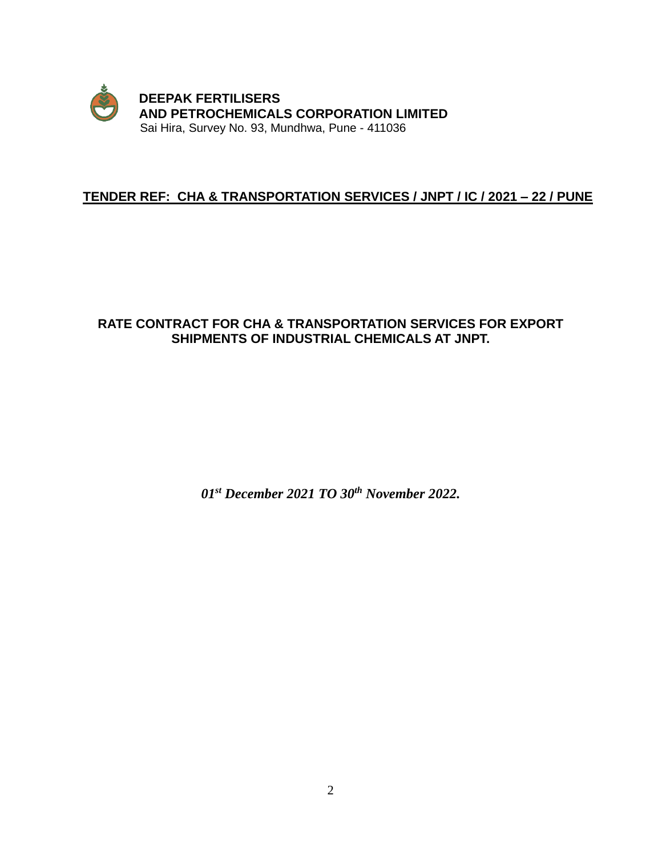

# **TENDER REF: CHA & TRANSPORTATION SERVICES / JNPT / IC / 2021 – 22 / PUNE**

# **RATE CONTRACT FOR CHA & TRANSPORTATION SERVICES FOR EXPORT SHIPMENTS OF INDUSTRIAL CHEMICALS AT JNPT.**

*01st December 2021 TO 30 th November 2022.*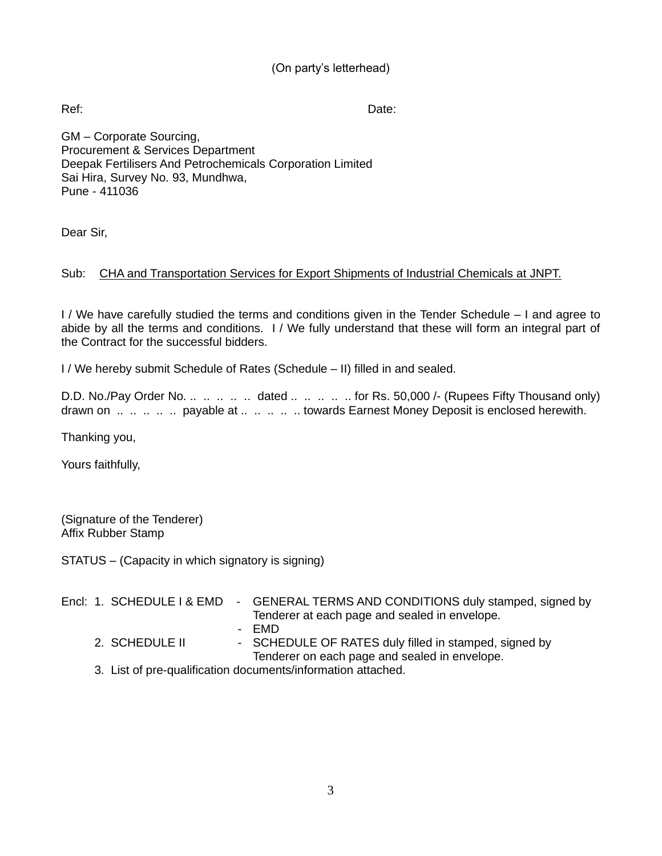# (On party's letterhead)

Ref: Date:

GM – Corporate Sourcing, Procurement & Services Department Deepak Fertilisers And Petrochemicals Corporation Limited Sai Hira, Survey No. 93, Mundhwa, Pune - 411036

Dear Sir,

# Sub: CHA and Transportation Services for Export Shipments of Industrial Chemicals at JNPT.

I / We have carefully studied the terms and conditions given in the Tender Schedule – I and agree to abide by all the terms and conditions. I / We fully understand that these will form an integral part of the Contract for the successful bidders.

I / We hereby submit Schedule of Rates (Schedule – II) filled in and sealed.

D.D. No./Pay Order No. .. .. .. .. dated .. .. .. .. for Rs. 50,000 /- (Rupees Fifty Thousand only) drawn on .. .. .. .. payable at .. .. .. .. towards Earnest Money Deposit is enclosed herewith.

Thanking you,

Yours faithfully,

(Signature of the Tenderer) Affix Rubber Stamp

STATUS – (Capacity in which signatory is signing)

|  | Encl: 1. SCHEDULE   & EMD | - GENERAL TERMS AND CONDITIONS duly stamped, signed by<br>Tenderer at each page and sealed in envelope. |
|--|---------------------------|---------------------------------------------------------------------------------------------------------|
|  |                           | - FMD                                                                                                   |
|  | 2. SCHEDULE II            | - SCHEDULE OF RATES duly filled in stamped, signed by<br>Tenderer on each page and sealed in envelope.  |
|  |                           | 3. List of pre-qualification documents/information attached.                                            |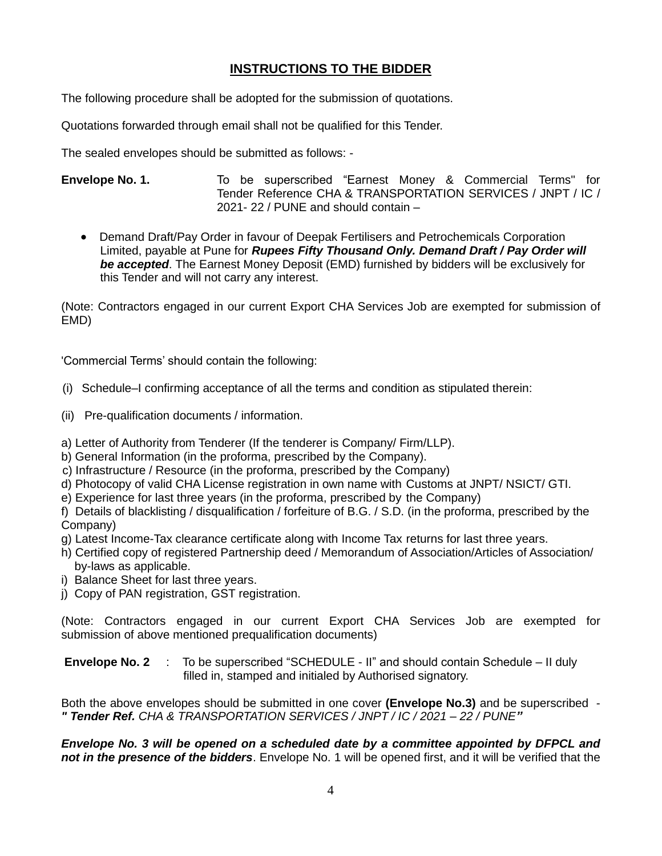# **INSTRUCTIONS TO THE BIDDER**

The following procedure shall be adopted for the submission of quotations.

Quotations forwarded through email shall not be qualified for this Tender.

The sealed envelopes should be submitted as follows: -

**Envelope No. 1.** To be superscribed "Earnest Money & Commercial Terms'' for Tender Reference CHA & TRANSPORTATION SERVICES / JNPT / IC / 2021- 22 / PUNE and should contain –

• Demand Draft/Pay Order in favour of Deepak Fertilisers and Petrochemicals Corporation Limited, payable at Pune for *Rupees Fifty Thousand Only. Demand Draft / Pay Order will be accepted*. The Earnest Money Deposit (EMD) furnished by bidders will be exclusively for this Tender and will not carry any interest.

(Note: Contractors engaged in our current Export CHA Services Job are exempted for submission of EMD)

'Commercial Terms' should contain the following:

- (i) Schedule–I confirming acceptance of all the terms and condition as stipulated therein:
- (ii) Pre-qualification documents / information.
- a) Letter of Authority from Tenderer (If the tenderer is Company/ Firm/LLP).
- b) General Information (in the proforma, prescribed by the Company).
- c) Infrastructure / Resource (in the proforma, prescribed by the Company)
- d) Photocopy of valid CHA License registration in own name with Customs at JNPT/ NSICT/ GTI.
- e) Experience for last three years (in the proforma, prescribed by the Company)

f) Details of blacklisting / disqualification / forfeiture of B.G. / S.D. (in the proforma, prescribed by the Company)

- g) Latest Income-Tax clearance certificate along with Income Tax returns for last three years.
- h) Certified copy of registered Partnership deed / Memorandum of Association/Articles of Association/ by-laws as applicable.
- i) Balance Sheet for last three years.
- j) Copy of PAN registration, GST registration.

(Note: Contractors engaged in our current Export CHA Services Job are exempted for submission of above mentioned prequalification documents)

#### **Envelope No. 2** : To be superscribed "SCHEDULE - II" and should contain Schedule – II duly filled in, stamped and initialed by Authorised signatory.

Both the above envelopes should be submitted in one cover **(Envelope No.3)** and be superscribed - *" Tender Ref. CHA & TRANSPORTATION SERVICES / JNPT / IC / 2021 – 22 / PUNE"*

*Envelope No. 3 will be opened on a scheduled date by a committee appointed by DFPCL and not in the presence of the bidders*. Envelope No. 1 will be opened first, and it will be verified that the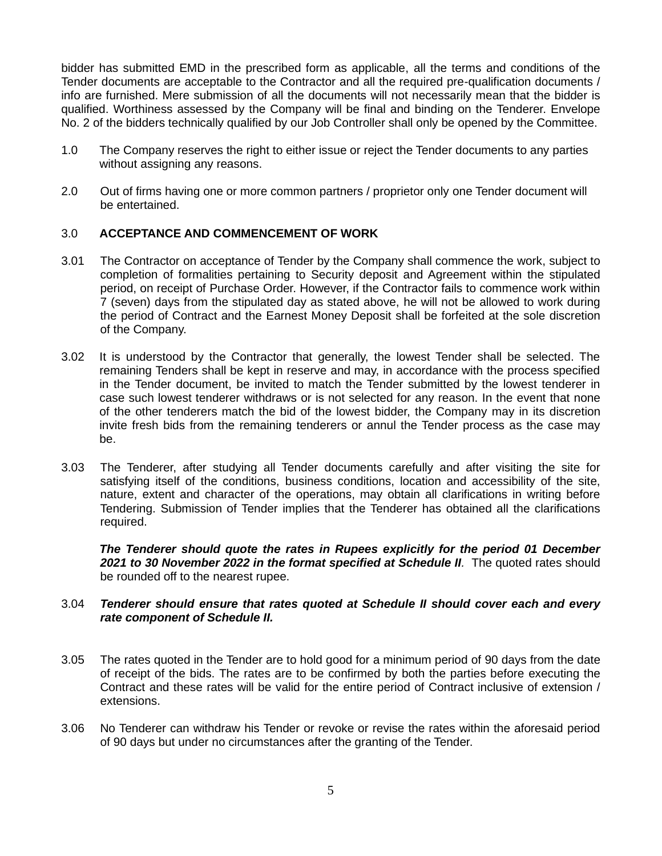bidder has submitted EMD in the prescribed form as applicable, all the terms and conditions of the Tender documents are acceptable to the Contractor and all the required pre-qualification documents / info are furnished. Mere submission of all the documents will not necessarily mean that the bidder is qualified. Worthiness assessed by the Company will be final and binding on the Tenderer. Envelope No. 2 of the bidders technically qualified by our Job Controller shall only be opened by the Committee.

- 1.0 The Company reserves the right to either issue or reject the Tender documents to any parties without assigning any reasons.
- 2.0 Out of firms having one or more common partners / proprietor only one Tender document will be entertained.

#### 3.0 **ACCEPTANCE AND COMMENCEMENT OF WORK**

- 3.01 The Contractor on acceptance of Tender by the Company shall commence the work, subject to completion of formalities pertaining to Security deposit and Agreement within the stipulated period, on receipt of Purchase Order. However, if the Contractor fails to commence work within 7 (seven) days from the stipulated day as stated above, he will not be allowed to work during the period of Contract and the Earnest Money Deposit shall be forfeited at the sole discretion of the Company.
- 3.02 It is understood by the Contractor that generally, the lowest Tender shall be selected. The remaining Tenders shall be kept in reserve and may, in accordance with the process specified in the Tender document, be invited to match the Tender submitted by the lowest tenderer in case such lowest tenderer withdraws or is not selected for any reason. In the event that none of the other tenderers match the bid of the lowest bidder, the Company may in its discretion invite fresh bids from the remaining tenderers or annul the Tender process as the case may be.
- 3.03 The Tenderer, after studying all Tender documents carefully and after visiting the site for satisfying itself of the conditions, business conditions, location and accessibility of the site, nature, extent and character of the operations, may obtain all clarifications in writing before Tendering. Submission of Tender implies that the Tenderer has obtained all the clarifications required.

*The Tenderer should quote the rates in Rupees explicitly for the period 01 December 2021 to 30 November 2022 in the format specified at Schedule II.* The quoted rates should be rounded off to the nearest rupee.

#### 3.04 *Tenderer should ensure that rates quoted at Schedule II should cover each and every rate component of Schedule II.*

- 3.05 The rates quoted in the Tender are to hold good for a minimum period of 90 days from the date of receipt of the bids. The rates are to be confirmed by both the parties before executing the Contract and these rates will be valid for the entire period of Contract inclusive of extension / extensions.
- 3.06 No Tenderer can withdraw his Tender or revoke or revise the rates within the aforesaid period of 90 days but under no circumstances after the granting of the Tender.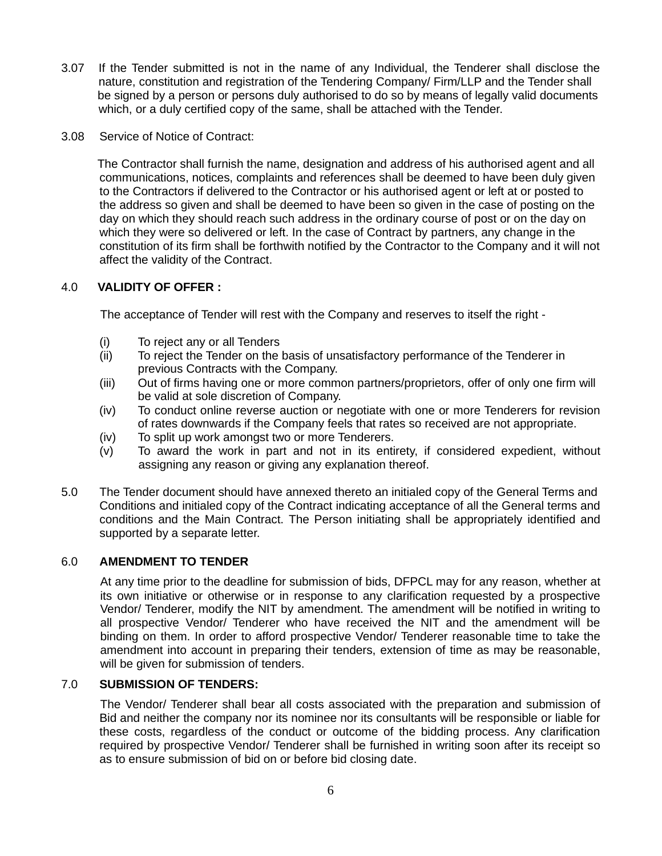- 3.07 If the Tender submitted is not in the name of any Individual, the Tenderer shall disclose the nature, constitution and registration of the Tendering Company/ Firm/LLP and the Tender shall be signed by a person or persons duly authorised to do so by means of legally valid documents which, or a duly certified copy of the same, shall be attached with the Tender.
- 3.08 Service of Notice of Contract:

 The Contractor shall furnish the name, designation and address of his authorised agent and all communications, notices, complaints and references shall be deemed to have been duly given to the Contractors if delivered to the Contractor or his authorised agent or left at or posted to the address so given and shall be deemed to have been so given in the case of posting on the day on which they should reach such address in the ordinary course of post or on the day on which they were so delivered or left. In the case of Contract by partners, any change in the constitution of its firm shall be forthwith notified by the Contractor to the Company and it will not affect the validity of the Contract.

#### 4.0 **VALIDITY OF OFFER :**

The acceptance of Tender will rest with the Company and reserves to itself the right -

- (i) To reject any or all Tenders
- (ii) To reject the Tender on the basis of unsatisfactory performance of the Tenderer in previous Contracts with the Company.
- (iii) Out of firms having one or more common partners/proprietors, offer of only one firm will be valid at sole discretion of Company.
- (iv) To conduct online reverse auction or negotiate with one or more Tenderers for revision of rates downwards if the Company feels that rates so received are not appropriate.
- (iv) To split up work amongst two or more Tenderers.
- (v) To award the work in part and not in its entirety, if considered expedient, without assigning any reason or giving any explanation thereof.
- 5.0 The Tender document should have annexed thereto an initialed copy of the General Terms and Conditions and initialed copy of the Contract indicating acceptance of all the General terms and conditions and the Main Contract. The Person initiating shall be appropriately identified and supported by a separate letter.

#### 6.0 **AMENDMENT TO TENDER**

At any time prior to the deadline for submission of bids, DFPCL may for any reason, whether at its own initiative or otherwise or in response to any clarification requested by a prospective Vendor/ Tenderer, modify the NIT by amendment. The amendment will be notified in writing to all prospective Vendor/ Tenderer who have received the NIT and the amendment will be binding on them. In order to afford prospective Vendor/ Tenderer reasonable time to take the amendment into account in preparing their tenders, extension of time as may be reasonable, will be given for submission of tenders.

#### 7.0 **SUBMISSION OF TENDERS:**

The Vendor/ Tenderer shall bear all costs associated with the preparation and submission of Bid and neither the company nor its nominee nor its consultants will be responsible or liable for these costs, regardless of the conduct or outcome of the bidding process. Any clarification required by prospective Vendor/ Tenderer shall be furnished in writing soon after its receipt so as to ensure submission of bid on or before bid closing date.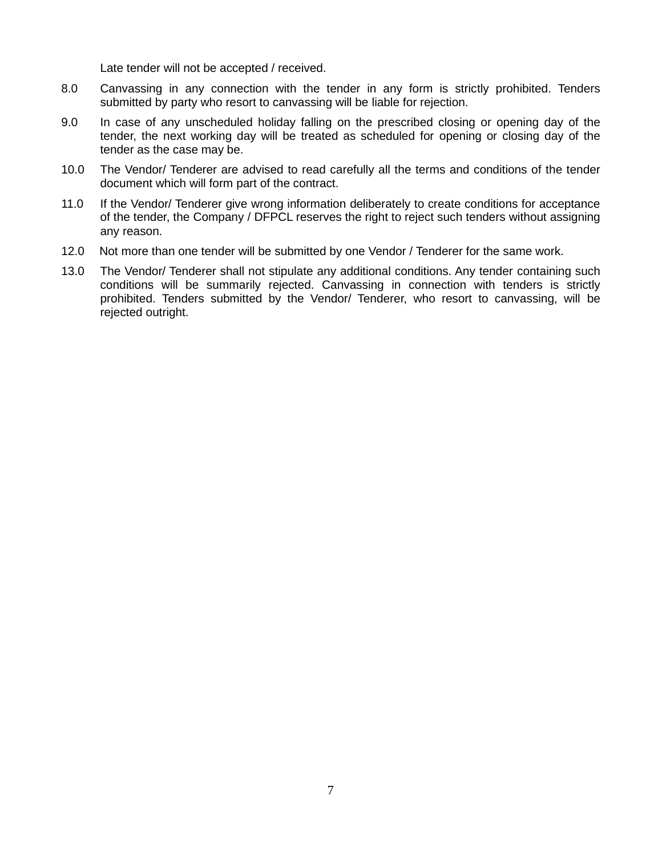Late tender will not be accepted / received.

- 8.0 Canvassing in any connection with the tender in any form is strictly prohibited. Tenders submitted by party who resort to canvassing will be liable for rejection.
- 9.0 In case of any unscheduled holiday falling on the prescribed closing or opening day of the tender, the next working day will be treated as scheduled for opening or closing day of the tender as the case may be.
- 10.0 The Vendor/ Tenderer are advised to read carefully all the terms and conditions of the tender document which will form part of the contract.
- 11.0 If the Vendor/ Tenderer give wrong information deliberately to create conditions for acceptance of the tender, the Company / DFPCL reserves the right to reject such tenders without assigning any reason.
- 12.0 Not more than one tender will be submitted by one Vendor / Tenderer for the same work.
- 13.0 The Vendor/ Tenderer shall not stipulate any additional conditions. Any tender containing such conditions will be summarily rejected. Canvassing in connection with tenders is strictly prohibited. Tenders submitted by the Vendor/ Tenderer, who resort to canvassing, will be rejected outright.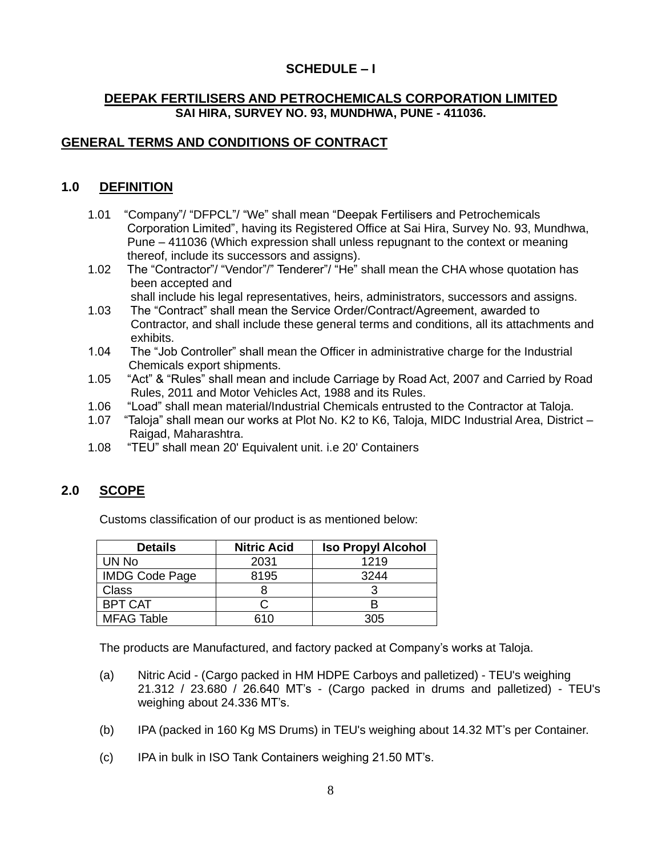# **SCHEDULE – I**

### **DEEPAK FERTILISERS AND PETROCHEMICALS CORPORATION LIMITED SAI HIRA, SURVEY NO. 93, MUNDHWA, PUNE - 411036.**

# **GENERAL TERMS AND CONDITIONS OF CONTRACT**

# **1.0 DEFINITION**

- 1.01 "Company"/ "DFPCL"/ "We" shall mean "Deepak Fertilisers and Petrochemicals Corporation Limited", having its Registered Office at Sai Hira, Survey No. 93, Mundhwa, Pune – 411036 (Which expression shall unless repugnant to the context or meaning thereof, include its successors and assigns).
- 1.02 The "Contractor"/ "Vendor"/" Tenderer"/ "He" shall mean the CHA whose quotation has been accepted and
	- shall include his legal representatives, heirs, administrators, successors and assigns.
- 1.03 The "Contract" shall mean the Service Order/Contract/Agreement, awarded to Contractor, and shall include these general terms and conditions, all its attachments and exhibits.
- 1.04 The "Job Controller" shall mean the Officer in administrative charge for the Industrial Chemicals export shipments.
- 1.05 "Act" & "Rules" shall mean and include Carriage by Road Act, 2007 and Carried by Road Rules, 2011 and Motor Vehicles Act, 1988 and its Rules.<br>1.06 "Load" shall mean material/Industrial Chemicals entrusted
- 1.06 "Load" shall mean material/Industrial Chemicals entrusted to the Contractor at Taloja.
- 1.07 "Taloja" shall mean our works at Plot No. K2 to K6, Taloja, MIDC Industrial Area, District Raigad, Maharashtra.
- 1.08 "TEU" shall mean 20' Equivalent unit. i.e 20' Containers

# **2.0 SCOPE**

Customs classification of our product is as mentioned below:

| <b>Details</b>        | <b>Nitric Acid</b> | <b>Iso Propyl Alcohol</b> |
|-----------------------|--------------------|---------------------------|
| UN No                 | 2031               | 1219                      |
| <b>IMDG Code Page</b> | 8195               | 3244                      |
| <b>Class</b>          |                    |                           |
| <b>BPT CAT</b>        |                    |                           |
| <b>MFAG Table</b>     | 310                | 305                       |

The products are Manufactured, and factory packed at Company's works at Taloja.

- (a) Nitric Acid (Cargo packed in HM HDPE Carboys and palletized) TEU's weighing 21.312 / 23.680 / 26.640 MT's - (Cargo packed in drums and palletized) - TEU's weighing about 24.336 MT's.
- (b) IPA (packed in 160 Kg MS Drums) in TEU's weighing about 14.32 MT's per Container.
- (c) IPA in bulk in ISO Tank Containers weighing 21.50 MT's.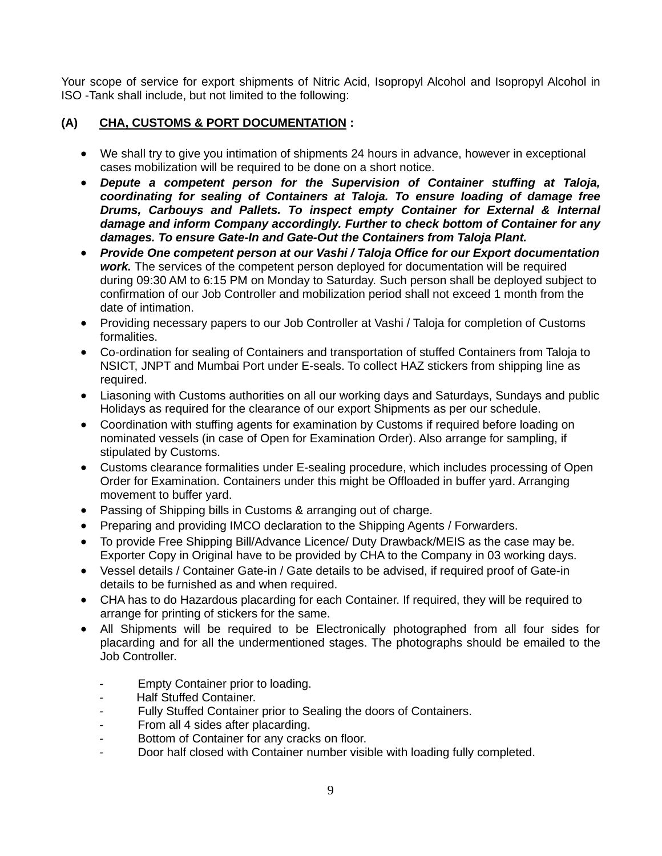Your scope of service for export shipments of Nitric Acid, Isopropyl Alcohol and Isopropyl Alcohol in ISO -Tank shall include, but not limited to the following:

### **(A) CHA, CUSTOMS & PORT DOCUMENTATION :**

- We shall try to give you intimation of shipments 24 hours in advance, however in exceptional cases mobilization will be required to be done on a short notice.
- *Depute a competent person for the Supervision of Container stuffing at Taloja, coordinating for sealing of Containers at Taloja. To ensure loading of damage free Drums, Carbouys and Pallets. To inspect empty Container for External & Internal damage and inform Company accordingly. Further to check bottom of Container for any damages. To ensure Gate-In and Gate-Out the Containers from Taloja Plant.*
- *Provide One competent person at our Vashi / Taloja Office for our Export documentation work.* The services of the competent person deployed for documentation will be required during 09:30 AM to 6:15 PM on Monday to Saturday. Such person shall be deployed subject to confirmation of our Job Controller and mobilization period shall not exceed 1 month from the date of intimation.
- Providing necessary papers to our Job Controller at Vashi / Taloja for completion of Customs formalities.
- Co-ordination for sealing of Containers and transportation of stuffed Containers from Taloja to NSICT, JNPT and Mumbai Port under E-seals. To collect HAZ stickers from shipping line as required.
- Liasoning with Customs authorities on all our working days and Saturdays, Sundays and public Holidays as required for the clearance of our export Shipments as per our schedule.
- Coordination with stuffing agents for examination by Customs if required before loading on nominated vessels (in case of Open for Examination Order). Also arrange for sampling, if stipulated by Customs.
- Customs clearance formalities under E-sealing procedure, which includes processing of Open Order for Examination. Containers under this might be Offloaded in buffer yard. Arranging movement to buffer yard.
- Passing of Shipping bills in Customs & arranging out of charge.
- Preparing and providing IMCO declaration to the Shipping Agents / Forwarders.
- To provide Free Shipping Bill/Advance Licence/ Duty Drawback/MEIS as the case may be. Exporter Copy in Original have to be provided by CHA to the Company in 03 working days.
- Vessel details / Container Gate-in / Gate details to be advised, if required proof of Gate-in details to be furnished as and when required.
- CHA has to do Hazardous placarding for each Container. If required, they will be required to arrange for printing of stickers for the same.
- All Shipments will be required to be Electronically photographed from all four sides for placarding and for all the undermentioned stages. The photographs should be emailed to the Job Controller.
	- Empty Container prior to loading.
	- Half Stuffed Container.
	- Fully Stuffed Container prior to Sealing the doors of Containers.
	- From all 4 sides after placarding.
	- Bottom of Container for any cracks on floor.
	- Door half closed with Container number visible with loading fully completed.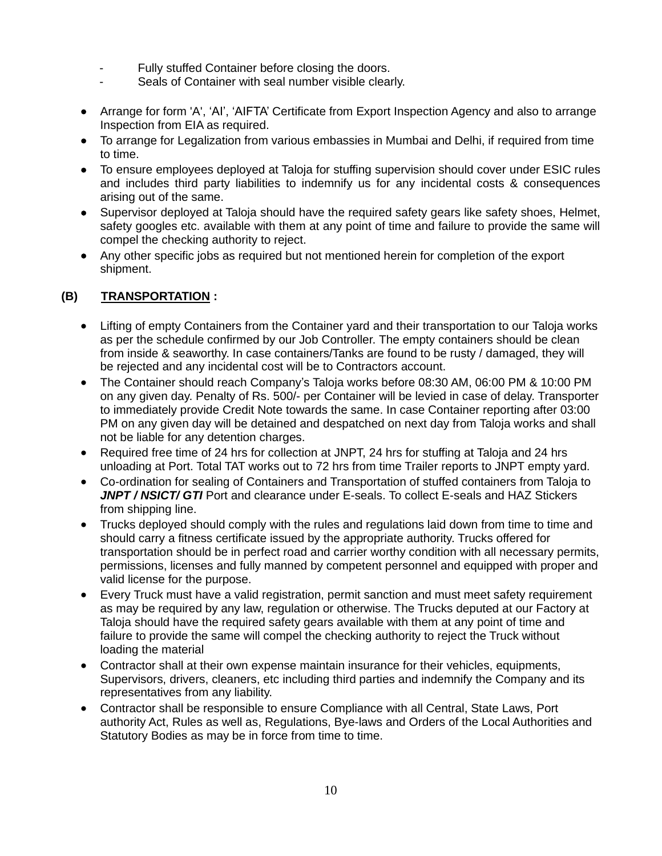- Fully stuffed Container before closing the doors.
- Seals of Container with seal number visible clearly.
- Arrange for form 'A', 'AI', 'AIFTA' Certificate from Export Inspection Agency and also to arrange Inspection from EIA as required.
- To arrange for Legalization from various embassies in Mumbai and Delhi, if required from time to time.
- To ensure employees deployed at Taloja for stuffing supervision should cover under ESIC rules and includes third party liabilities to indemnify us for any incidental costs & consequences arising out of the same.
- Supervisor deployed at Taloja should have the required safety gears like safety shoes, Helmet, safety googles etc. available with them at any point of time and failure to provide the same will compel the checking authority to reject.
- Any other specific jobs as required but not mentioned herein for completion of the export shipment.

# **(B) TRANSPORTATION :**

- Lifting of empty Containers from the Container yard and their transportation to our Taloja works as per the schedule confirmed by our Job Controller. The empty containers should be clean from inside & seaworthy. In case containers/Tanks are found to be rusty / damaged, they will be rejected and any incidental cost will be to Contractors account.
- The Container should reach Company's Taloja works before 08:30 AM, 06:00 PM & 10:00 PM on any given day. Penalty of Rs. 500/- per Container will be levied in case of delay. Transporter to immediately provide Credit Note towards the same. In case Container reporting after 03:00 PM on any given day will be detained and despatched on next day from Taloja works and shall not be liable for any detention charges.
- Required free time of 24 hrs for collection at JNPT, 24 hrs for stuffing at Taloja and 24 hrs unloading at Port. Total TAT works out to 72 hrs from time Trailer reports to JNPT empty yard.
- Co-ordination for sealing of Containers and Transportation of stuffed containers from Taloja to JNPT / NSICT/ GTI Port and clearance under E-seals. To collect E-seals and HAZ Stickers from shipping line.
- Trucks deployed should comply with the rules and regulations laid down from time to time and should carry a fitness certificate issued by the appropriate authority. Trucks offered for transportation should be in perfect road and carrier worthy condition with all necessary permits, permissions, licenses and fully manned by competent personnel and equipped with proper and valid license for the purpose.
- Every Truck must have a valid registration, permit sanction and must meet safety requirement as may be required by any law, regulation or otherwise. The Trucks deputed at our Factory at Taloja should have the required safety gears available with them at any point of time and failure to provide the same will compel the checking authority to reject the Truck without loading the material
- Contractor shall at their own expense maintain insurance for their vehicles, equipments, Supervisors, drivers, cleaners, etc including third parties and indemnify the Company and its representatives from any liability.
- Contractor shall be responsible to ensure Compliance with all Central, State Laws, Port authority Act, Rules as well as, Regulations, Bye-laws and Orders of the Local Authorities and Statutory Bodies as may be in force from time to time.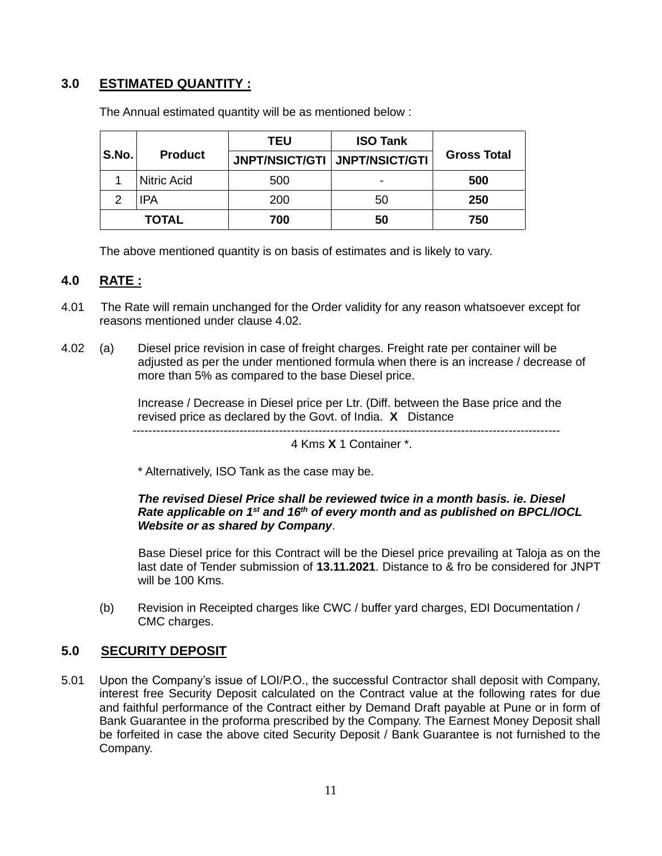# **3.0 ESTIMATED QUANTITY :**

|              |                    | <b>ISO Tank</b><br>TEU          |    |                    |  |
|--------------|--------------------|---------------------------------|----|--------------------|--|
| S.No.        | <b>Product</b>     | JNPT/NSICT/GTI   JNPT/NSICT/GTI |    | <b>Gross Total</b> |  |
|              | <b>Nitric Acid</b> | 500                             | -  | 500                |  |
| っ            | IPA                | 200                             | 50 | 250                |  |
| <b>TOTAL</b> |                    | 700                             | 50 | 750                |  |

The Annual estimated quantity will be as mentioned below :

The above mentioned quantity is on basis of estimates and is likely to vary.

### **4.0 RATE :**

- 4.01 The Rate will remain unchanged for the Order validity for any reason whatsoever except for reasons mentioned under clause 4.02.
- 4.02 (a) Diesel price revision in case of freight charges. Freight rate per container will be adjusted as per the under mentioned formula when there is an increase / decrease of more than 5% as compared to the base Diesel price.

Increase / Decrease in Diesel price per Ltr. (Diff. between the Base price and the revised price as declared by the Govt. of India. **X** Distance

------------------------------------------------------------------------------------------------------------

4 Kms **X** 1 Container \*.

\* Alternatively, ISO Tank as the case may be.

#### *The revised Diesel Price shall be reviewed twice in a month basis. ie. Diesel Rate applicable on 1st and 16 th of every month and as published on BPCL/IOCL Website or as shared by Company*.

Base Diesel price for this Contract will be the Diesel price prevailing at Taloja as on the last date of Tender submission of **13.11.2021**. Distance to & fro be considered for JNPT will be 100 Kms.

(b) Revision in Receipted charges like CWC / buffer yard charges, EDI Documentation / CMC charges.

# **5.0 SECURITY DEPOSIT**

5.01 Upon the Company's issue of LOI/P.O., the successful Contractor shall deposit with Company, interest free Security Deposit calculated on the Contract value at the following rates for due and faithful performance of the Contract either by Demand Draft payable at Pune or in form of Bank Guarantee in the proforma prescribed by the Company. The Earnest Money Deposit shall be forfeited in case the above cited Security Deposit / Bank Guarantee is not furnished to the Company.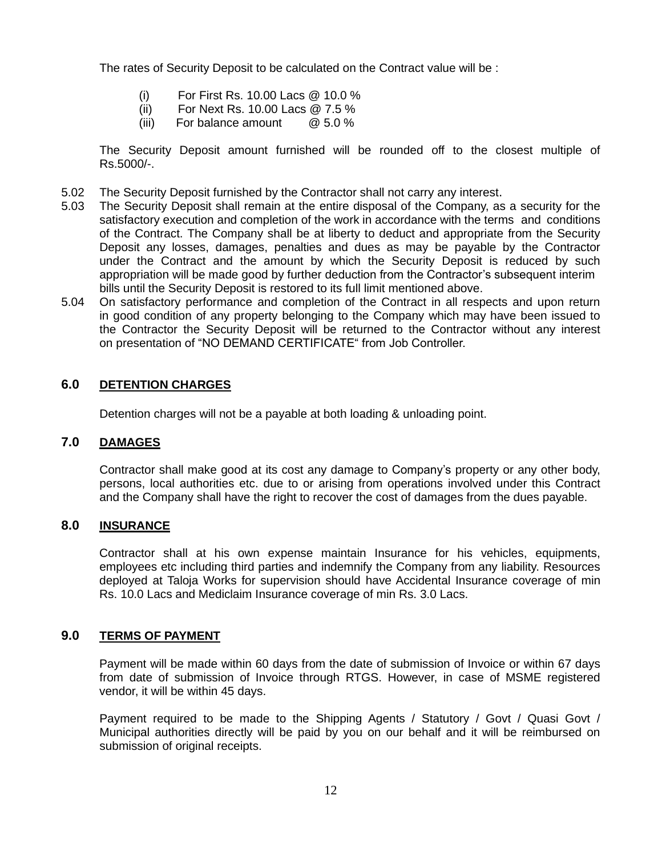The rates of Security Deposit to be calculated on the Contract value will be :

- (i) For First Rs. 10.00 Lacs @ 10.0 %
- (ii) For Next Rs. 10.00 Lacs @ 7.5 %
- (iii) For balance amount @ 5.0 %

The Security Deposit amount furnished will be rounded off to the closest multiple of Rs.5000/-.

- 5.02 The Security Deposit furnished by the Contractor shall not carry any interest.
- 5.03 The Security Deposit shall remain at the entire disposal of the Company, as a security for the satisfactory execution and completion of the work in accordance with the terms and conditions of the Contract. The Company shall be at liberty to deduct and appropriate from the Security Deposit any losses, damages, penalties and dues as may be payable by the Contractor under the Contract and the amount by which the Security Deposit is reduced by such appropriation will be made good by further deduction from the Contractor's subsequent interim bills until the Security Deposit is restored to its full limit mentioned above.
- 5.04 On satisfactory performance and completion of the Contract in all respects and upon return in good condition of any property belonging to the Company which may have been issued to the Contractor the Security Deposit will be returned to the Contractor without any interest on presentation of "NO DEMAND CERTIFICATE" from Job Controller.

#### **6.0 DETENTION CHARGES**

Detention charges will not be a payable at both loading & unloading point.

### **7.0 DAMAGES**

Contractor shall make good at its cost any damage to Company's property or any other body, persons, local authorities etc. due to or arising from operations involved under this Contract and the Company shall have the right to recover the cost of damages from the dues payable.

### **8.0 INSURANCE**

Contractor shall at his own expense maintain Insurance for his vehicles, equipments, employees etc including third parties and indemnify the Company from any liability. Resources deployed at Taloja Works for supervision should have Accidental Insurance coverage of min Rs. 10.0 Lacs and Mediclaim Insurance coverage of min Rs. 3.0 Lacs.

#### **9.0 TERMS OF PAYMENT**

Payment will be made within 60 days from the date of submission of Invoice or within 67 days from date of submission of Invoice through RTGS. However, in case of MSME registered vendor, it will be within 45 days.

Payment required to be made to the Shipping Agents / Statutory / Govt / Quasi Govt / Municipal authorities directly will be paid by you on our behalf and it will be reimbursed on submission of original receipts.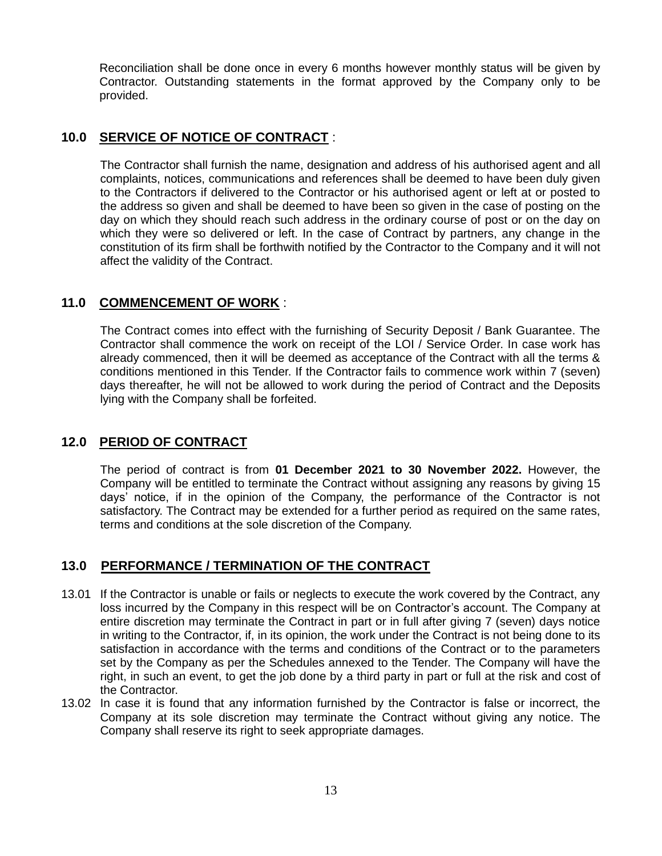Reconciliation shall be done once in every 6 months however monthly status will be given by Contractor. Outstanding statements in the format approved by the Company only to be provided.

### **10.0 SERVICE OF NOTICE OF CONTRACT** :

The Contractor shall furnish the name, designation and address of his authorised agent and all complaints, notices, communications and references shall be deemed to have been duly given to the Contractors if delivered to the Contractor or his authorised agent or left at or posted to the address so given and shall be deemed to have been so given in the case of posting on the day on which they should reach such address in the ordinary course of post or on the day on which they were so delivered or left. In the case of Contract by partners, any change in the constitution of its firm shall be forthwith notified by the Contractor to the Company and it will not affect the validity of the Contract.

### **11.0 COMMENCEMENT OF WORK** :

The Contract comes into effect with the furnishing of Security Deposit / Bank Guarantee. The Contractor shall commence the work on receipt of the LOI / Service Order. In case work has already commenced, then it will be deemed as acceptance of the Contract with all the terms & conditions mentioned in this Tender. If the Contractor fails to commence work within 7 (seven) days thereafter, he will not be allowed to work during the period of Contract and the Deposits lying with the Company shall be forfeited.

#### **12.0 PERIOD OF CONTRACT**

The period of contract is from **01 December 2021 to 30 November 2022.** However, the Company will be entitled to terminate the Contract without assigning any reasons by giving 15 days' notice, if in the opinion of the Company, the performance of the Contractor is not satisfactory. The Contract may be extended for a further period as required on the same rates, terms and conditions at the sole discretion of the Company.

# **13.0 PERFORMANCE / TERMINATION OF THE CONTRACT**

- 13.01 If the Contractor is unable or fails or neglects to execute the work covered by the Contract, any loss incurred by the Company in this respect will be on Contractor's account. The Company at entire discretion may terminate the Contract in part or in full after giving 7 (seven) days notice in writing to the Contractor, if, in its opinion, the work under the Contract is not being done to its satisfaction in accordance with the terms and conditions of the Contract or to the parameters set by the Company as per the Schedules annexed to the Tender. The Company will have the right, in such an event, to get the job done by a third party in part or full at the risk and cost of the Contractor.
- 13.02 In case it is found that any information furnished by the Contractor is false or incorrect, the Company at its sole discretion may terminate the Contract without giving any notice. The Company shall reserve its right to seek appropriate damages.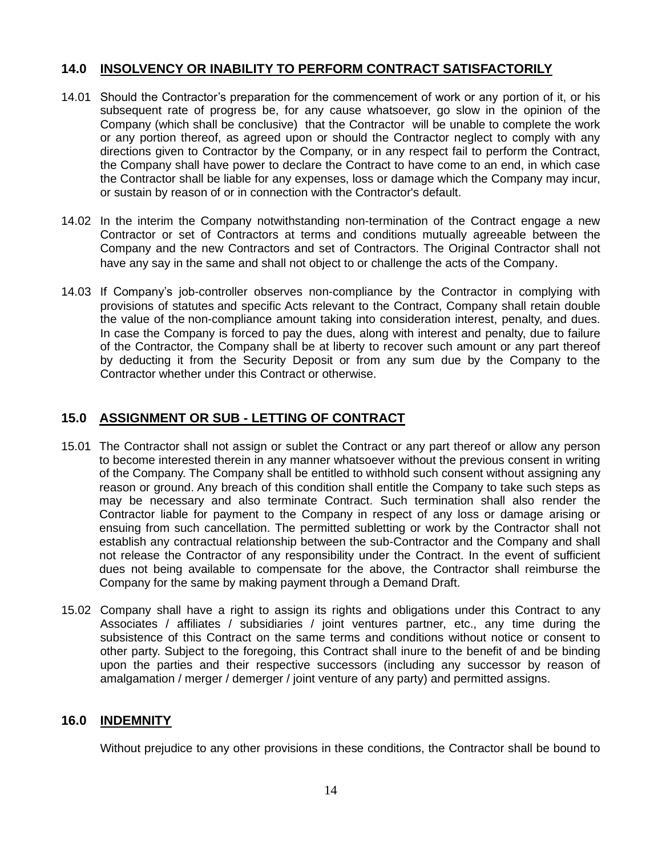### **14.0 INSOLVENCY OR INABILITY TO PERFORM CONTRACT SATISFACTORILY**

- 14.01 Should the Contractor's preparation for the commencement of work or any portion of it, or his subsequent rate of progress be, for any cause whatsoever, go slow in the opinion of the Company (which shall be conclusive) that the Contractor will be unable to complete the work or any portion thereof, as agreed upon or should the Contractor neglect to comply with any directions given to Contractor by the Company, or in any respect fail to perform the Contract, the Company shall have power to declare the Contract to have come to an end, in which case the Contractor shall be liable for any expenses, loss or damage which the Company may incur, or sustain by reason of or in connection with the Contractor's default.
- 14.02 In the interim the Company notwithstanding non-termination of the Contract engage a new Contractor or set of Contractors at terms and conditions mutually agreeable between the Company and the new Contractors and set of Contractors. The Original Contractor shall not have any say in the same and shall not object to or challenge the acts of the Company.
- 14.03 If Company's job-controller observes non-compliance by the Contractor in complying with provisions of statutes and specific Acts relevant to the Contract, Company shall retain double the value of the non-compliance amount taking into consideration interest, penalty, and dues. In case the Company is forced to pay the dues, along with interest and penalty, due to failure of the Contractor, the Company shall be at liberty to recover such amount or any part thereof by deducting it from the Security Deposit or from any sum due by the Company to the Contractor whether under this Contract or otherwise.

# **15.0 ASSIGNMENT OR SUB - LETTING OF CONTRACT**

- 15.01 The Contractor shall not assign or sublet the Contract or any part thereof or allow any person to become interested therein in any manner whatsoever without the previous consent in writing of the Company. The Company shall be entitled to withhold such consent without assigning any reason or ground. Any breach of this condition shall entitle the Company to take such steps as may be necessary and also terminate Contract. Such termination shall also render the Contractor liable for payment to the Company in respect of any loss or damage arising or ensuing from such cancellation. The permitted subletting or work by the Contractor shall not establish any contractual relationship between the sub-Contractor and the Company and shall not release the Contractor of any responsibility under the Contract. In the event of sufficient dues not being available to compensate for the above, the Contractor shall reimburse the Company for the same by making payment through a Demand Draft.
- 15.02 Company shall have a right to assign its rights and obligations under this Contract to any Associates / affiliates / subsidiaries / joint ventures partner, etc., any time during the subsistence of this Contract on the same terms and conditions without notice or consent to other party. Subject to the foregoing, this Contract shall inure to the benefit of and be binding upon the parties and their respective successors (including any successor by reason of amalgamation / merger / demerger / joint venture of any party) and permitted assigns.

# **16.0 INDEMNITY**

Without prejudice to any other provisions in these conditions, the Contractor shall be bound to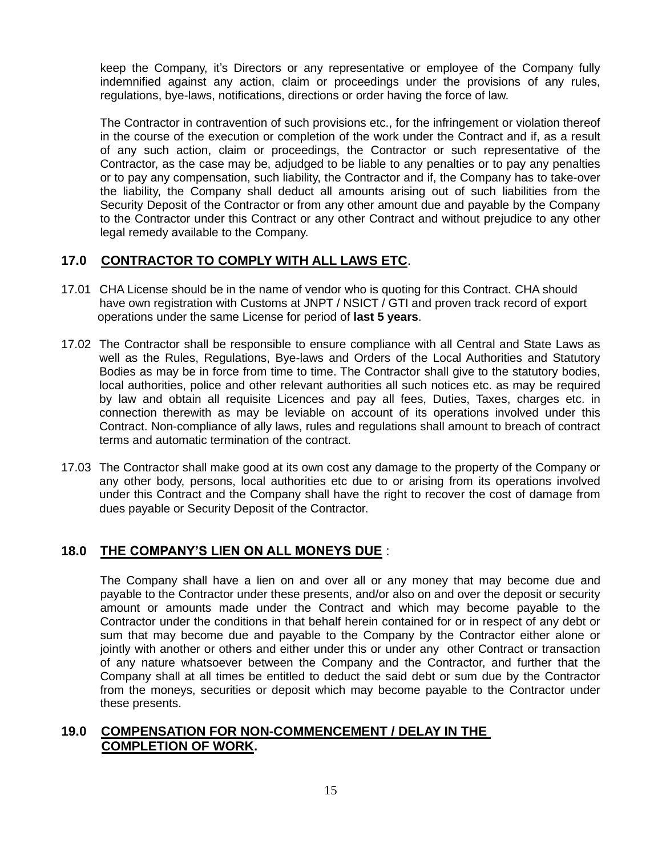keep the Company, it's Directors or any representative or employee of the Company fully indemnified against any action, claim or proceedings under the provisions of any rules, regulations, bye-laws, notifications, directions or order having the force of law.

The Contractor in contravention of such provisions etc., for the infringement or violation thereof in the course of the execution or completion of the work under the Contract and if, as a result of any such action, claim or proceedings, the Contractor or such representative of the Contractor, as the case may be, adjudged to be liable to any penalties or to pay any penalties or to pay any compensation, such liability, the Contractor and if, the Company has to take-over the liability, the Company shall deduct all amounts arising out of such liabilities from the Security Deposit of the Contractor or from any other amount due and payable by the Company to the Contractor under this Contract or any other Contract and without prejudice to any other legal remedy available to the Company.

# **17.0 CONTRACTOR TO COMPLY WITH ALL LAWS ETC**.

- 17.01 CHA License should be in the name of vendor who is quoting for this Contract. CHA should have own registration with Customs at JNPT / NSICT / GTI and proven track record of export operations under the same License for period of **last 5 years**.
- 17.02 The Contractor shall be responsible to ensure compliance with all Central and State Laws as well as the Rules, Regulations, Bye-laws and Orders of the Local Authorities and Statutory Bodies as may be in force from time to time. The Contractor shall give to the statutory bodies, local authorities, police and other relevant authorities all such notices etc. as may be required by law and obtain all requisite Licences and pay all fees, Duties, Taxes, charges etc. in connection therewith as may be leviable on account of its operations involved under this Contract. Non-compliance of ally laws, rules and regulations shall amount to breach of contract terms and automatic termination of the contract.
- 17.03 The Contractor shall make good at its own cost any damage to the property of the Company or any other body, persons, local authorities etc due to or arising from its operations involved under this Contract and the Company shall have the right to recover the cost of damage from dues payable or Security Deposit of the Contractor.

# **18.0 THE COMPANY'S LIEN ON ALL MONEYS DUE** :

The Company shall have a lien on and over all or any money that may become due and payable to the Contractor under these presents, and/or also on and over the deposit or security amount or amounts made under the Contract and which may become payable to the Contractor under the conditions in that behalf herein contained for or in respect of any debt or sum that may become due and payable to the Company by the Contractor either alone or jointly with another or others and either under this or under any other Contract or transaction of any nature whatsoever between the Company and the Contractor, and further that the Company shall at all times be entitled to deduct the said debt or sum due by the Contractor from the moneys, securities or deposit which may become payable to the Contractor under these presents.

# **19.0 COMPENSATION FOR NON-COMMENCEMENT / DELAY IN THE COMPLETION OF WORK.**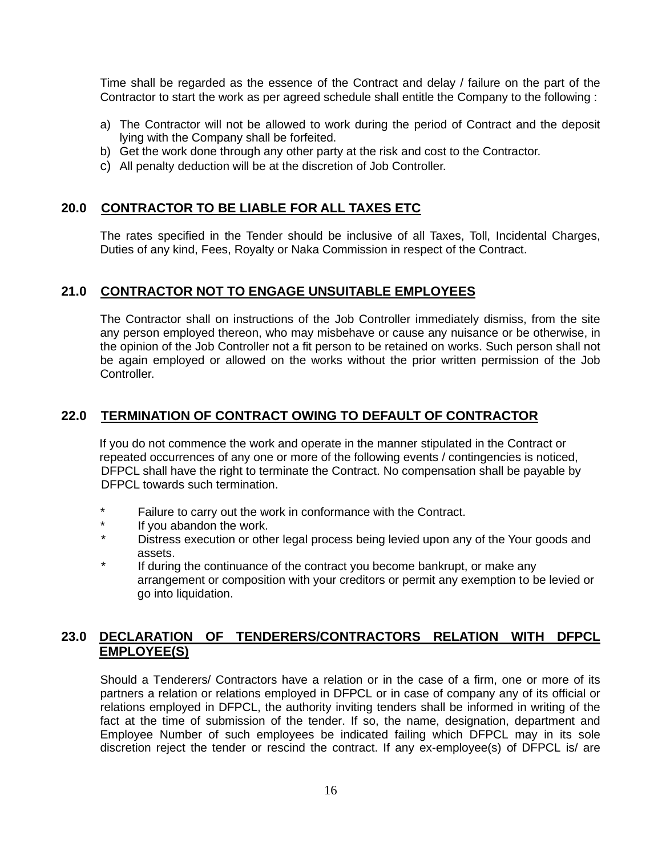Time shall be regarded as the essence of the Contract and delay / failure on the part of the Contractor to start the work as per agreed schedule shall entitle the Company to the following :

- a) The Contractor will not be allowed to work during the period of Contract and the deposit lying with the Company shall be forfeited.
- b) Get the work done through any other party at the risk and cost to the Contractor.
- c) All penalty deduction will be at the discretion of Job Controller.

# **20.0 CONTRACTOR TO BE LIABLE FOR ALL TAXES ETC**

The rates specified in the Tender should be inclusive of all Taxes, Toll, Incidental Charges, Duties of any kind, Fees, Royalty or Naka Commission in respect of the Contract.

### **21.0 CONTRACTOR NOT TO ENGAGE UNSUITABLE EMPLOYEES**

The Contractor shall on instructions of the Job Controller immediately dismiss, from the site any person employed thereon, who may misbehave or cause any nuisance or be otherwise, in the opinion of the Job Controller not a fit person to be retained on works. Such person shall not be again employed or allowed on the works without the prior written permission of the Job Controller.

### **22.0 TERMINATION OF CONTRACT OWING TO DEFAULT OF CONTRACTOR**

If you do not commence the work and operate in the manner stipulated in the Contract or repeated occurrences of any one or more of the following events / contingencies is noticed, DFPCL shall have the right to terminate the Contract. No compensation shall be payable by DFPCL towards such termination.

- \* Failure to carry out the work in conformance with the Contract.
- \* If you abandon the work.<br>A interior of the Distrace association or other
- Distress execution or other legal process being levied upon any of the Your goods and assets.
- If during the continuance of the contract you become bankrupt, or make any arrangement or composition with your creditors or permit any exemption to be levied or go into liquidation.

# **23.0 DECLARATION OF TENDERERS/CONTRACTORS RELATION WITH DFPCL EMPLOYEE(S)**

Should a Tenderers/ Contractors have a relation or in the case of a firm, one or more of its partners a relation or relations employed in DFPCL or in case of company any of its official or relations employed in DFPCL, the authority inviting tenders shall be informed in writing of the fact at the time of submission of the tender. If so, the name, designation, department and Employee Number of such employees be indicated failing which DFPCL may in its sole discretion reject the tender or rescind the contract. If any ex-employee(s) of DFPCL is/ are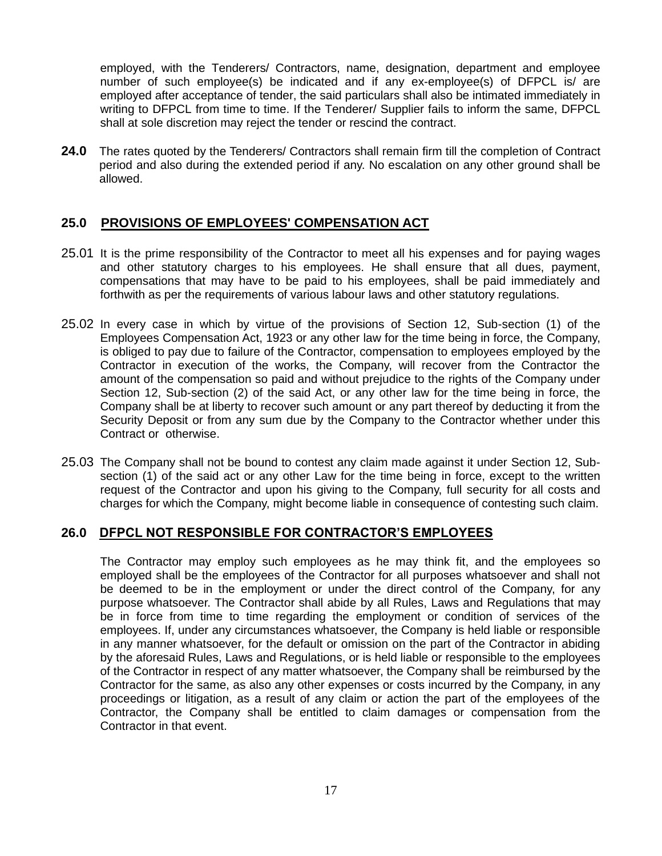employed, with the Tenderers/ Contractors, name, designation, department and employee number of such employee(s) be indicated and if any ex-employee(s) of DFPCL is/ are employed after acceptance of tender, the said particulars shall also be intimated immediately in writing to DFPCL from time to time. If the Tenderer/ Supplier fails to inform the same, DFPCL shall at sole discretion may reject the tender or rescind the contract.

**24.0** The rates quoted by the Tenderers/ Contractors shall remain firm till the completion of Contract period and also during the extended period if any. No escalation on any other ground shall be allowed.

### **25.0 PROVISIONS OF EMPLOYEES' COMPENSATION ACT**

- 25.01 It is the prime responsibility of the Contractor to meet all his expenses and for paying wages and other statutory charges to his employees. He shall ensure that all dues, payment, compensations that may have to be paid to his employees, shall be paid immediately and forthwith as per the requirements of various labour laws and other statutory regulations.
- 25.02 In every case in which by virtue of the provisions of Section 12, Sub-section (1) of the Employees Compensation Act, 1923 or any other law for the time being in force, the Company, is obliged to pay due to failure of the Contractor, compensation to employees employed by the Contractor in execution of the works, the Company, will recover from the Contractor the amount of the compensation so paid and without prejudice to the rights of the Company under Section 12, Sub-section (2) of the said Act, or any other law for the time being in force, the Company shall be at liberty to recover such amount or any part thereof by deducting it from the Security Deposit or from any sum due by the Company to the Contractor whether under this Contract or otherwise.
- 25.03 The Company shall not be bound to contest any claim made against it under Section 12, Subsection (1) of the said act or any other Law for the time being in force, except to the written request of the Contractor and upon his giving to the Company, full security for all costs and charges for which the Company, might become liable in consequence of contesting such claim.

#### **26.0 DFPCL NOT RESPONSIBLE FOR CONTRACTOR'S EMPLOYEES**

The Contractor may employ such employees as he may think fit, and the employees so employed shall be the employees of the Contractor for all purposes whatsoever and shall not be deemed to be in the employment or under the direct control of the Company, for any purpose whatsoever. The Contractor shall abide by all Rules, Laws and Regulations that may be in force from time to time regarding the employment or condition of services of the employees. If, under any circumstances whatsoever, the Company is held liable or responsible in any manner whatsoever, for the default or omission on the part of the Contractor in abiding by the aforesaid Rules, Laws and Regulations, or is held liable or responsible to the employees of the Contractor in respect of any matter whatsoever, the Company shall be reimbursed by the Contractor for the same, as also any other expenses or costs incurred by the Company, in any proceedings or litigation, as a result of any claim or action the part of the employees of the Contractor, the Company shall be entitled to claim damages or compensation from the Contractor in that event.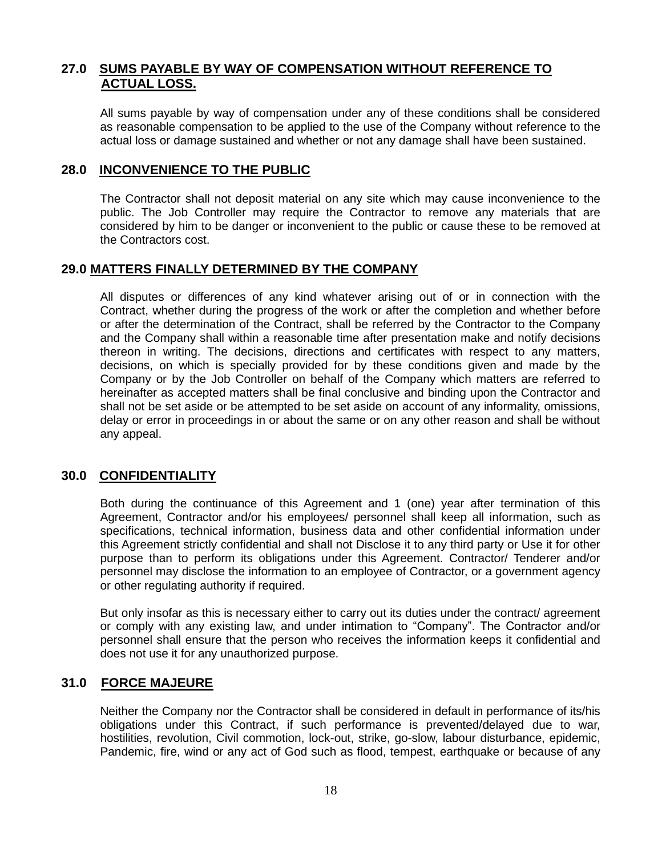### **27.0 SUMS PAYABLE BY WAY OF COMPENSATION WITHOUT REFERENCE TO ACTUAL LOSS.**

All sums payable by way of compensation under any of these conditions shall be considered as reasonable compensation to be applied to the use of the Company without reference to the actual loss or damage sustained and whether or not any damage shall have been sustained.

### **28.0 INCONVENIENCE TO THE PUBLIC**

The Contractor shall not deposit material on any site which may cause inconvenience to the public. The Job Controller may require the Contractor to remove any materials that are considered by him to be danger or inconvenient to the public or cause these to be removed at the Contractors cost.

#### **29.0 MATTERS FINALLY DETERMINED BY THE COMPANY**

All disputes or differences of any kind whatever arising out of or in connection with the Contract, whether during the progress of the work or after the completion and whether before or after the determination of the Contract, shall be referred by the Contractor to the Company and the Company shall within a reasonable time after presentation make and notify decisions thereon in writing. The decisions, directions and certificates with respect to any matters, decisions, on which is specially provided for by these conditions given and made by the Company or by the Job Controller on behalf of the Company which matters are referred to hereinafter as accepted matters shall be final conclusive and binding upon the Contractor and shall not be set aside or be attempted to be set aside on account of any informality, omissions, delay or error in proceedings in or about the same or on any other reason and shall be without any appeal.

#### **30.0 CONFIDENTIALITY**

Both during the continuance of this Agreement and 1 (one) year after termination of this Agreement, Contractor and/or his employees/ personnel shall keep all information, such as specifications, technical information, business data and other confidential information under this Agreement strictly confidential and shall not Disclose it to any third party or Use it for other purpose than to perform its obligations under this Agreement. Contractor/ Tenderer and/or personnel may disclose the information to an employee of Contractor, or a government agency or other regulating authority if required.

But only insofar as this is necessary either to carry out its duties under the contract/ agreement or comply with any existing law, and under intimation to "Company". The Contractor and/or personnel shall ensure that the person who receives the information keeps it confidential and does not use it for any unauthorized purpose.

#### **31.0 FORCE MAJEURE**

Neither the Company nor the Contractor shall be considered in default in performance of its/his obligations under this Contract, if such performance is prevented/delayed due to war, hostilities, revolution, Civil commotion, lock-out, strike, go-slow, labour disturbance, epidemic, Pandemic, fire, wind or any act of God such as flood, tempest, earthquake or because of any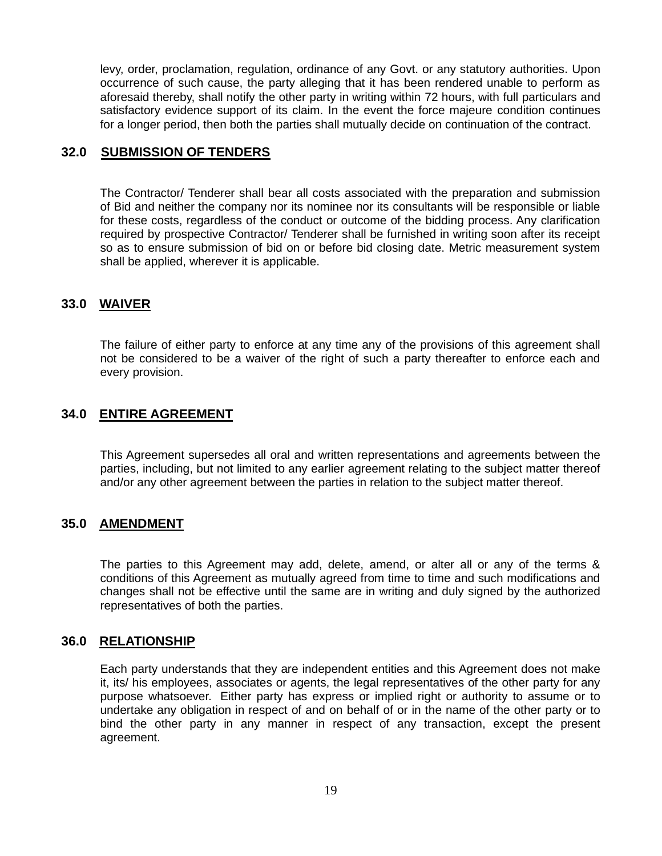levy, order, proclamation, regulation, ordinance of any Govt. or any statutory authorities. Upon occurrence of such cause, the party alleging that it has been rendered unable to perform as aforesaid thereby, shall notify the other party in writing within 72 hours, with full particulars and satisfactory evidence support of its claim. In the event the force majeure condition continues for a longer period, then both the parties shall mutually decide on continuation of the contract.

#### **32.0 SUBMISSION OF TENDERS**

The Contractor/ Tenderer shall bear all costs associated with the preparation and submission of Bid and neither the company nor its nominee nor its consultants will be responsible or liable for these costs, regardless of the conduct or outcome of the bidding process. Any clarification required by prospective Contractor/ Tenderer shall be furnished in writing soon after its receipt so as to ensure submission of bid on or before bid closing date. Metric measurement system shall be applied, wherever it is applicable.

# **33.0 WAIVER**

The failure of either party to enforce at any time any of the provisions of this agreement shall not be considered to be a waiver of the right of such a party thereafter to enforce each and every provision.

### **34.0 ENTIRE AGREEMENT**

This Agreement supersedes all oral and written representations and agreements between the parties, including, but not limited to any earlier agreement relating to the subject matter thereof and/or any other agreement between the parties in relation to the subject matter thereof.

### **35.0 AMENDMENT**

The parties to this Agreement may add, delete, amend, or alter all or any of the terms & conditions of this Agreement as mutually agreed from time to time and such modifications and changes shall not be effective until the same are in writing and duly signed by the authorized representatives of both the parties.

#### **36.0 RELATIONSHIP**

Each party understands that they are independent entities and this Agreement does not make it, its/ his employees, associates or agents, the legal representatives of the other party for any purpose whatsoever. Either party has express or implied right or authority to assume or to undertake any obligation in respect of and on behalf of or in the name of the other party or to bind the other party in any manner in respect of any transaction, except the present agreement.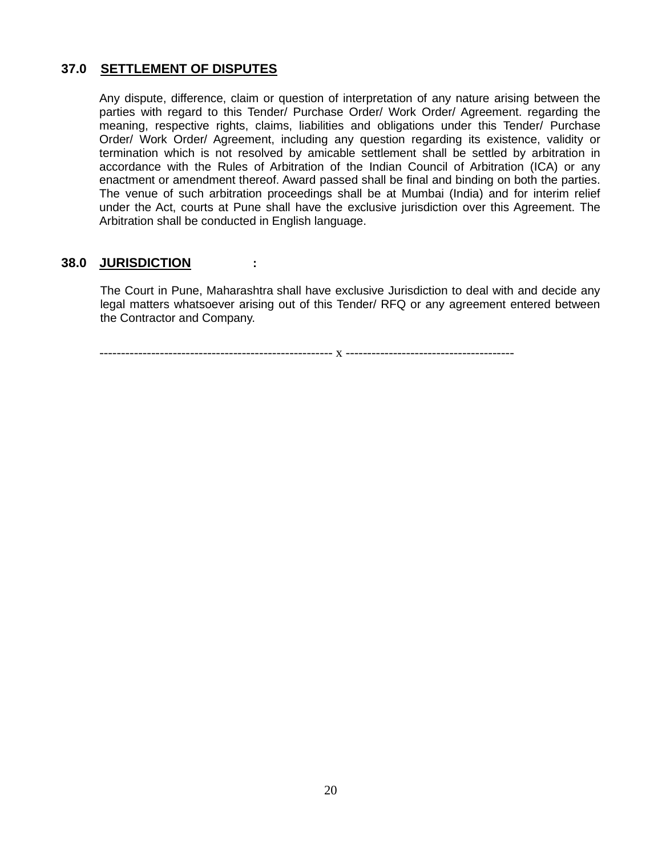# **37.0 SETTLEMENT OF DISPUTES**

Any dispute, difference, claim or question of interpretation of any nature arising between the parties with regard to this Tender/ Purchase Order/ Work Order/ Agreement. regarding the meaning, respective rights, claims, liabilities and obligations under this Tender/ Purchase Order/ Work Order/ Agreement, including any question regarding its existence, validity or termination which is not resolved by amicable settlement shall be settled by arbitration in accordance with the Rules of Arbitration of the Indian Council of Arbitration (ICA) or any enactment or amendment thereof. Award passed shall be final and binding on both the parties. The venue of such arbitration proceedings shall be at Mumbai (India) and for interim relief under the Act, courts at Pune shall have the exclusive jurisdiction over this Agreement. The Arbitration shall be conducted in English language.

#### **38.0 JURISDICTION :**

The Court in Pune, Maharashtra shall have exclusive Jurisdiction to deal with and decide any legal matters whatsoever arising out of this Tender/ RFQ or any agreement entered between the Contractor and Company.

------------------------------------------------------ x ---------------------------------------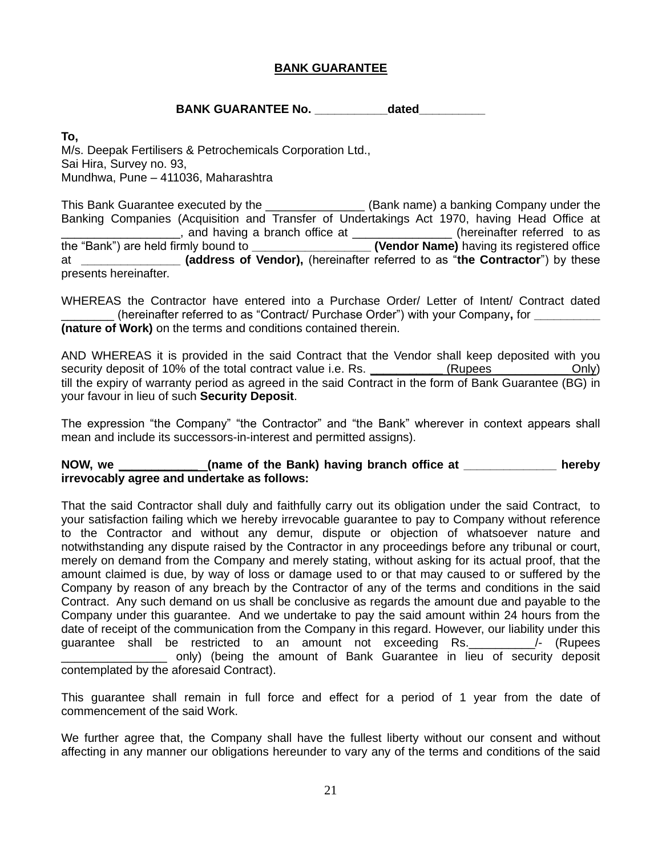### **BANK GUARANTEE**

#### **BANK GUARANTEE No. The dated dated**

**To,**

M/s. Deepak Fertilisers & Petrochemicals Corporation Ltd., Sai Hira, Survey no. 93, Mundhwa, Pune – 411036, Maharashtra

This Bank Guarantee executed by the \_\_\_\_\_\_\_\_\_\_\_\_\_\_\_\_\_(Bank name) a banking Company under the Banking Companies (Acquisition and Transfer of Undertakings Act 1970, having Head Office at \_\_\_\_\_\_\_\_\_\_, and having a branch office at \_\_\_\_\_\_\_\_\_\_\_\_\_\_\_\_\_(hereinafter referred to as <br>re held firmly bound to \_\_\_\_\_\_\_\_\_\_\_\_\_\_\_\_\_\_\_\_\_(Vendor Name) having its registered office the "Bank") are held firmly bound to \_\_\_\_\_\_\_ at **\_\_\_\_\_\_\_\_\_\_\_\_\_\_\_ (address of Vendor),** (hereinafter referred to as "**the Contractor**") by these presents hereinafter.

WHEREAS the Contractor have entered into a Purchase Order/ Letter of Intent/ Contract dated \_\_\_\_\_\_\_\_ (hereinafter referred to as "Contract/ Purchase Order") with your Company**,** for **\_\_\_\_\_\_\_\_\_\_ (nature of Work)** on the terms and conditions contained therein.

AND WHEREAS it is provided in the said Contract that the Vendor shall keep deposited with you security deposit of 10% of the total contract value i.e. Rs. \_\_\_\_\_\_\_\_\_\_\_\_\_ (Rupees \_\_\_\_\_\_\_\_\_\_\_\_\_ Only) till the expiry of warranty period as agreed in the said Contract in the form of Bank Guarantee (BG) in your favour in lieu of such **Security Deposit**.

The expression "the Company" "the Contractor" and "the Bank" wherever in context appears shall mean and include its successors-in-interest and permitted assigns).

#### NOW, we **construct (name of the Bank) having branch office at construct the hereby irrevocably agree and undertake as follows:**

That the said Contractor shall duly and faithfully carry out its obligation under the said Contract, to your satisfaction failing which we hereby irrevocable guarantee to pay to Company without reference to the Contractor and without any demur, dispute or objection of whatsoever nature and notwithstanding any dispute raised by the Contractor in any proceedings before any tribunal or court, merely on demand from the Company and merely stating, without asking for its actual proof, that the amount claimed is due, by way of loss or damage used to or that may caused to or suffered by the Company by reason of any breach by the Contractor of any of the terms and conditions in the said Contract. Any such demand on us shall be conclusive as regards the amount due and payable to the Company under this guarantee. And we undertake to pay the said amount within 24 hours from the date of receipt of the communication from the Company in this regard. However, our liability under this guarantee shall be restricted to an amount not exceeding Rs. 4. (Rupees \_\_\_\_\_\_\_\_\_\_\_\_\_\_\_\_ only) (being the amount of Bank Guarantee in lieu of security deposit contemplated by the aforesaid Contract).

This guarantee shall remain in full force and effect for a period of 1 year from the date of commencement of the said Work.

We further agree that, the Company shall have the fullest liberty without our consent and without affecting in any manner our obligations hereunder to vary any of the terms and conditions of the said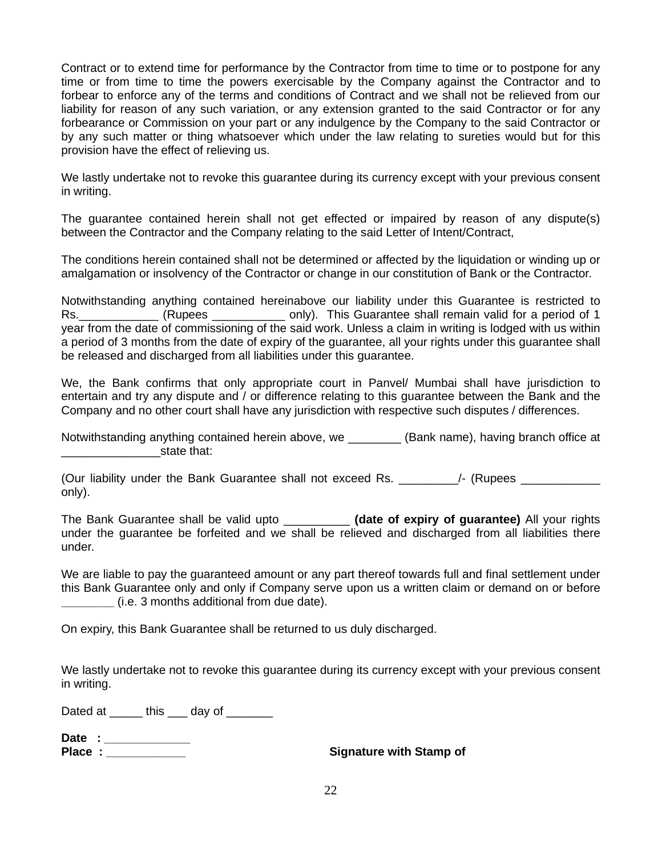Contract or to extend time for performance by the Contractor from time to time or to postpone for any time or from time to time the powers exercisable by the Company against the Contractor and to forbear to enforce any of the terms and conditions of Contract and we shall not be relieved from our liability for reason of any such variation, or any extension granted to the said Contractor or for any forbearance or Commission on your part or any indulgence by the Company to the said Contractor or by any such matter or thing whatsoever which under the law relating to sureties would but for this provision have the effect of relieving us.

We lastly undertake not to revoke this guarantee during its currency except with your previous consent in writing.

The guarantee contained herein shall not get effected or impaired by reason of any dispute(s) between the Contractor and the Company relating to the said Letter of Intent/Contract,

The conditions herein contained shall not be determined or affected by the liquidation or winding up or amalgamation or insolvency of the Contractor or change in our constitution of Bank or the Contractor.

Notwithstanding anything contained hereinabove our liability under this Guarantee is restricted to Rs. \_\_\_\_\_\_\_\_\_\_\_\_ (Rupees \_\_\_\_\_\_\_\_\_\_\_\_ only). This Guarantee shall remain valid for a period of 1 year from the date of commissioning of the said work. Unless a claim in writing is lodged with us within a period of 3 months from the date of expiry of the guarantee, all your rights under this guarantee shall be released and discharged from all liabilities under this guarantee.

We, the Bank confirms that only appropriate court in Panvel/ Mumbai shall have jurisdiction to entertain and try any dispute and / or difference relating to this guarantee between the Bank and the Company and no other court shall have any jurisdiction with respective such disputes / differences.

Notwithstanding anything contained herein above, we \_\_\_\_\_\_\_\_\_ (Bank name), having branch office at \_\_\_\_\_\_\_\_\_\_\_\_\_\_\_state that:

(Our liability under the Bank Guarantee shall not exceed Rs.  $\overline{a}$  /- (Rupees only).

The Bank Guarantee shall be valid upto \_\_\_\_\_\_\_\_\_\_ **(date of expiry of guarantee)** All your rights under the guarantee be forfeited and we shall be relieved and discharged from all liabilities there under.

We are liable to pay the guaranteed amount or any part thereof towards full and final settlement under this Bank Guarantee only and only if Company serve upon us a written claim or demand on or before **\_\_\_\_\_\_\_\_** (i.e. 3 months additional from due date).

On expiry, this Bank Guarantee shall be returned to us duly discharged.

We lastly undertake not to revoke this quarantee during its currency except with your previous consent in writing.

Dated at \_\_\_\_\_\_ this \_\_\_\_ day of \_\_\_\_\_\_\_

**Date : \_\_\_\_\_\_\_\_\_\_\_\_\_ Place : Constant Constant Constant Constant Constant Constant Constant Constant Constant Constant Constant Constant Constant Constant Constant Constant Constant Constant Constant Constant Constant Constant Constant Cons**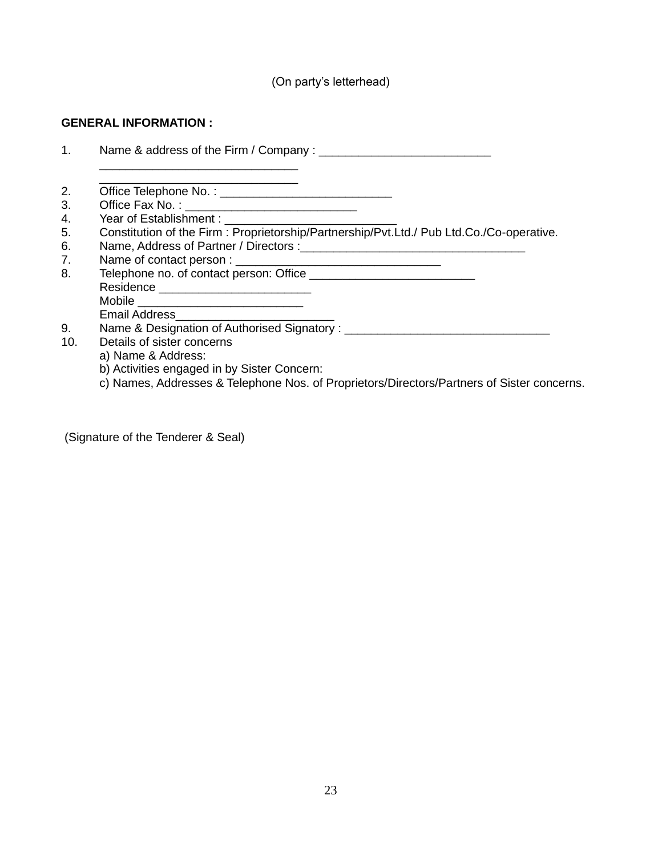(On party's letterhead)

#### **GENERAL INFORMATION :**

1. Name & address of the Firm / Company : \_\_\_\_\_\_\_\_\_\_\_\_\_\_\_\_\_\_\_\_\_\_\_\_\_\_

 $\frac{1}{2}$  ,  $\frac{1}{2}$  ,  $\frac{1}{2}$  ,  $\frac{1}{2}$  ,  $\frac{1}{2}$  ,  $\frac{1}{2}$  ,  $\frac{1}{2}$  ,  $\frac{1}{2}$  ,  $\frac{1}{2}$  ,  $\frac{1}{2}$ 

- 2. Office Telephone No. : \_\_\_\_\_\_\_\_\_\_\_\_\_\_\_\_\_\_\_\_\_\_\_\_\_\_
- 3. Office Fax No. : \_\_\_\_\_\_\_\_\_\_\_\_\_\_\_\_\_\_\_\_\_\_\_\_\_\_
- 4. Year of Establishment :
- 5. Constitution of the Firm : Proprietorship/Partnership/Pvt.Ltd./ Pub Ltd.Co./Co-operative.
- 6. Name, Address of Partner / Directors :\_\_\_\_\_\_\_\_\_\_\_\_\_\_\_\_\_\_\_\_\_\_\_\_\_\_\_\_\_\_\_\_\_\_

\_\_\_\_\_\_\_\_\_\_\_\_\_\_\_\_\_\_\_\_\_\_\_\_\_\_\_\_\_\_

- 7. Name of contact person : \_\_\_\_\_\_\_\_\_\_\_\_\_\_\_\_\_\_\_\_\_\_\_\_\_\_\_\_\_\_\_
- 8. Telephone no. of contact person: Office \_\_\_\_\_\_\_\_\_\_\_\_\_\_\_\_\_\_\_\_\_\_\_\_\_ Residence \_\_\_\_\_\_\_\_\_\_\_\_\_\_\_\_\_\_\_\_\_\_\_ Mobile \_\_\_\_\_\_\_\_\_\_\_\_\_\_\_\_\_\_\_\_\_\_\_\_\_ Email Address\_\_\_\_\_\_\_\_\_\_\_\_\_\_\_\_\_\_\_\_\_\_\_\_
	-
- 9. Name & Designation of Authorised Signatory : \_\_\_\_\_\_\_\_\_\_\_\_\_\_\_\_\_\_\_\_\_\_\_\_\_\_\_\_\_\_\_\_
- 10. Details of sister concerns
	- a) Name & Address:
	- b) Activities engaged in by Sister Concern:
	- c) Names, Addresses & Telephone Nos. of Proprietors/Directors/Partners of Sister concerns.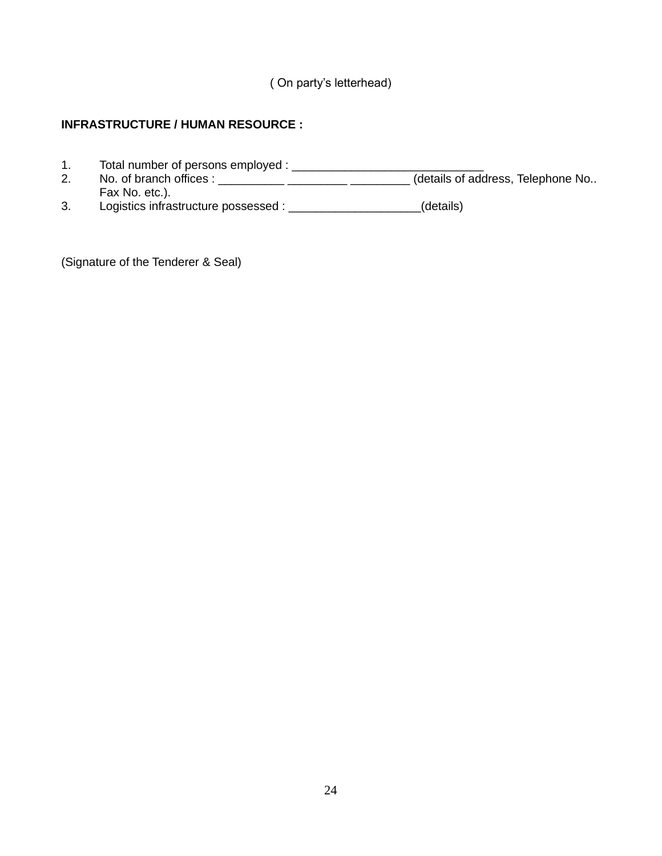( On party's letterhead)

# **INFRASTRUCTURE / HUMAN RESOURCE :**

- 1. Total number of persons employed : \_\_\_\_\_\_\_\_\_\_\_\_\_\_\_\_\_\_\_\_\_\_\_\_\_\_\_\_\_
- 2. No. of branch offices : \_\_\_\_\_\_\_\_\_\_\_\_\_\_\_\_\_\_\_\_\_\_\_\_\_\_\_\_\_\_\_\_\_\_(details of address, Telephone No.. Fax No. etc.).
- 3. Logistics infrastructure possessed : \_\_\_\_\_\_\_\_\_\_\_\_\_\_\_\_\_\_\_\_(details)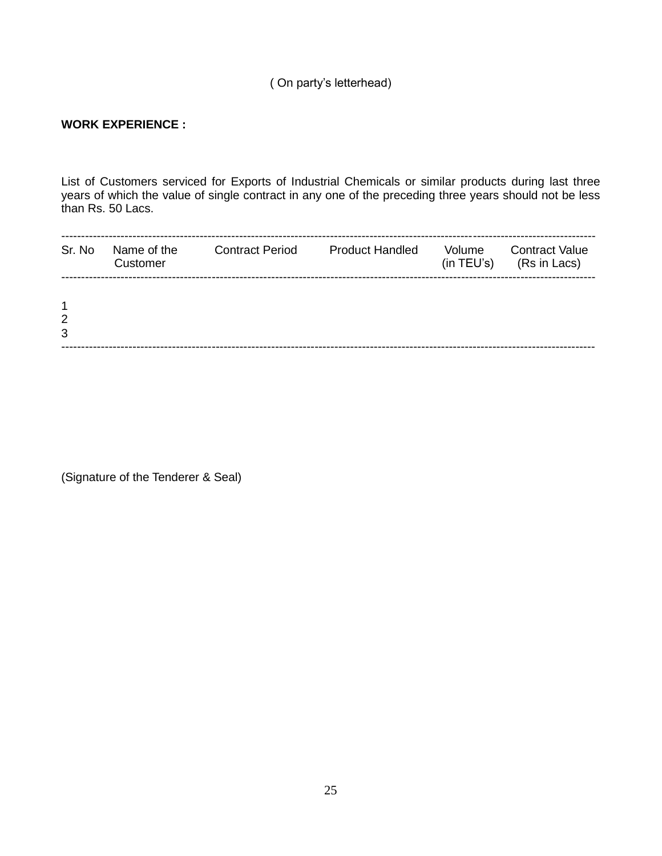# ( On party's letterhead)

### **WORK EXPERIENCE :**

List of Customers serviced for Exports of Industrial Chemicals or similar products during last three years of which the value of single contract in any one of the preceding three years should not be less than Rs. 50 Lacs.

| Sr. No                | Name of the<br>Customer | <b>Contract Period</b> | <b>Product Handled</b> | Volume | <b>Contract Value</b><br>$(in TEU's)$ $(Rs in Lacs)$ |
|-----------------------|-------------------------|------------------------|------------------------|--------|------------------------------------------------------|
| $\mathbf 1$<br>2<br>3 |                         |                        |                        |        |                                                      |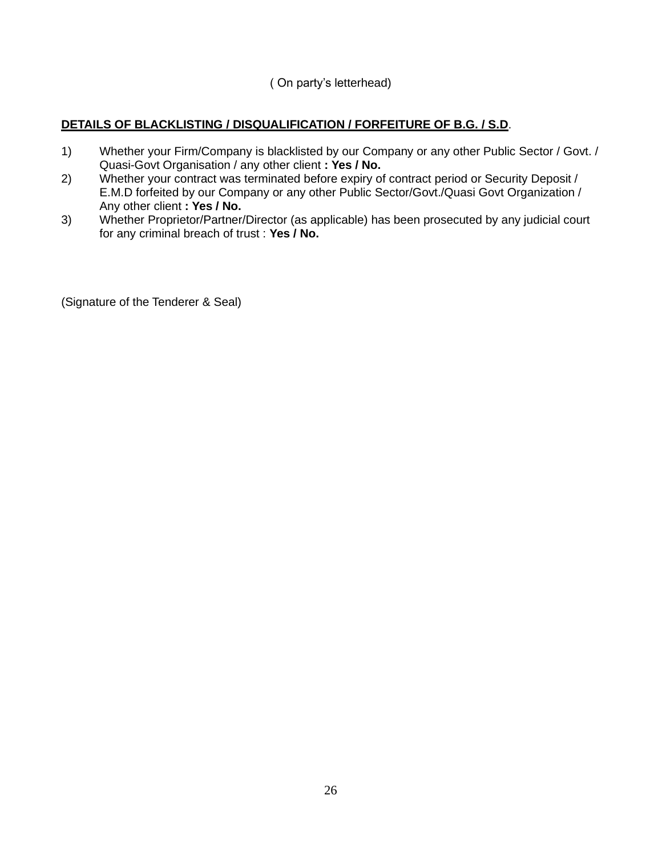( On party's letterhead)

# **DETAILS OF BLACKLISTING / DISQUALIFICATION / FORFEITURE OF B.G. / S.D**.

- 1) Whether your Firm/Company is blacklisted by our Company or any other Public Sector / Govt. / Quasi-Govt Organisation / any other client **: Yes / No.**
- 2) Whether your contract was terminated before expiry of contract period or Security Deposit / E.M.D forfeited by our Company or any other Public Sector/Govt./Quasi Govt Organization / Any other client **: Yes / No.**
- 3) Whether Proprietor/Partner/Director (as applicable) has been prosecuted by any judicial court for any criminal breach of trust : **Yes / No.**